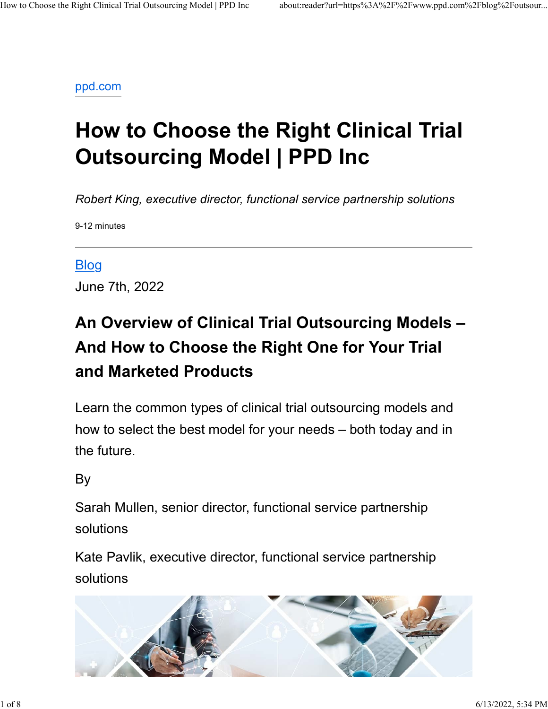#### ppd.com

# How to Choose the Right Clinical Trial Outsourcing Model | PPD Inc

Robert King, executive director, functional service partnership solutions

9-12 minutes

#### Blog

June 7th, 2022

# An Overview of Clinical Trial Outsourcing Models – And How to Choose the Right One for Your Trial and Marketed Products

Learn the common types of clinical trial outsourcing models and how to select the best model for your needs – both today and in the future.

#### By the contract of the contract of the contract of the contract of the contract of the contract of the contract of the contract of the contract of the contract of the contract of the contract of the contract of the contrac

Sarah Mullen, senior director, functional service partnership solutions

Kate Pavlik, executive director, functional service partnership solutions

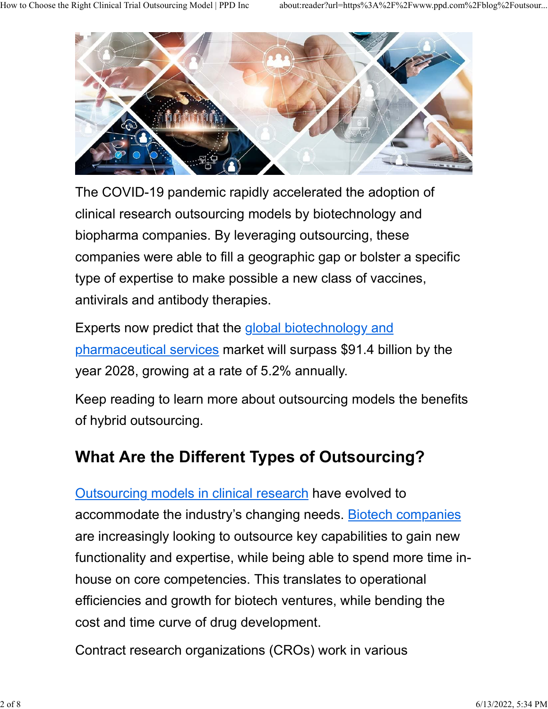

The COVID-19 pandemic rapidly accelerated the adoption of clinical research outsourcing models by biotechnology and biopharma companies. By leveraging outsourcing, these companies were able to fill a geographic gap or bolster a specific type of expertise to make possible a new class of vaccines, antivirals and antibody therapies.

Experts now predict that the global biotechnology and pharmaceutical services market will surpass \$91.4 billion by the year 2028, growing at a rate of 5.2% annually.

Keep reading to learn more about outsourcing models the benefits of hybrid outsourcing.

#### What Are the Different Types of Outsourcing?

**Outsourcing models in clinical research have evolved to** accommodate the industry's changing needs. Biotech companies are increasingly looking to outsource key capabilities to gain new functionality and expertise, while being able to spend more time inhouse on core competencies. This translates to operational efficiencies and growth for biotech ventures, while bending the cost and time curve of drug development.

Contract research organizations (CROs) work in various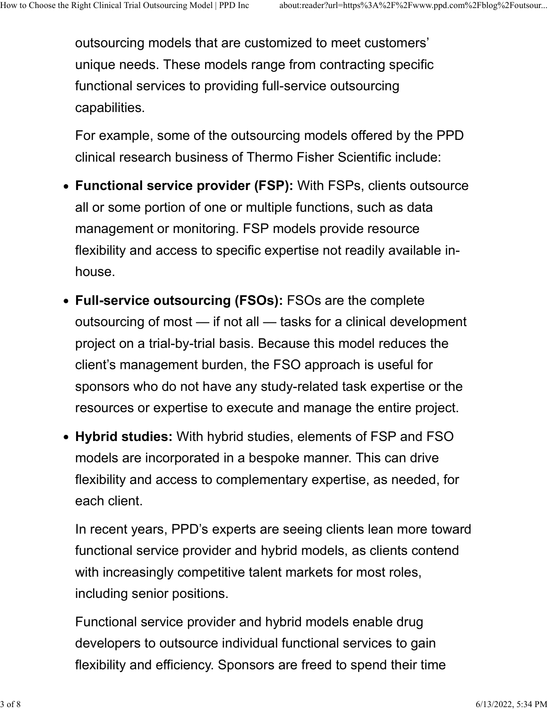outsourcing models that are customized to meet customers' unique needs. These models range from contracting specific functional services to providing full-service outsourcing capabilities. How to Choose the Right Clinical Trial Outsourcing Model | PPD Inc about:reader?url=https%3A%2F%2Fwww.ppd.com%2Fblog%2Foutsour...<br>OUtsourcing models that are customized to meet customers'<br>Inique peeds. These models range f

> For example, some of the outsourcing models offered by the PPD clinical research business of Thermo Fisher Scientific include:

- Functional service provider (FSP): With FSPs, clients outsource all or some portion of one or multiple functions, such as data management or monitoring. FSP models provide resource flexibility and access to specific expertise not readily available inhouse.
- Full-service outsourcing (FSOs): FSOs are the complete outsourcing of most — if not all — tasks for a clinical development project on a trial-by-trial basis. Because this model reduces the client's management burden, the FSO approach is useful for sponsors who do not have any study-related task expertise or the resources or expertise to execute and manage the entire project.
- Hybrid studies: With hybrid studies, elements of FSP and FSO models are incorporated in a bespoke manner. This can drive flexibility and access to complementary expertise, as needed, for each client.

In recent years, PPD's experts are seeing clients lean more toward functional service provider and hybrid models, as clients contend with increasingly competitive talent markets for most roles, including senior positions.

Functional service provider and hybrid models enable drug developers to outsource individual functional services to gain flexibility and efficiency. Sponsors are freed to spend their time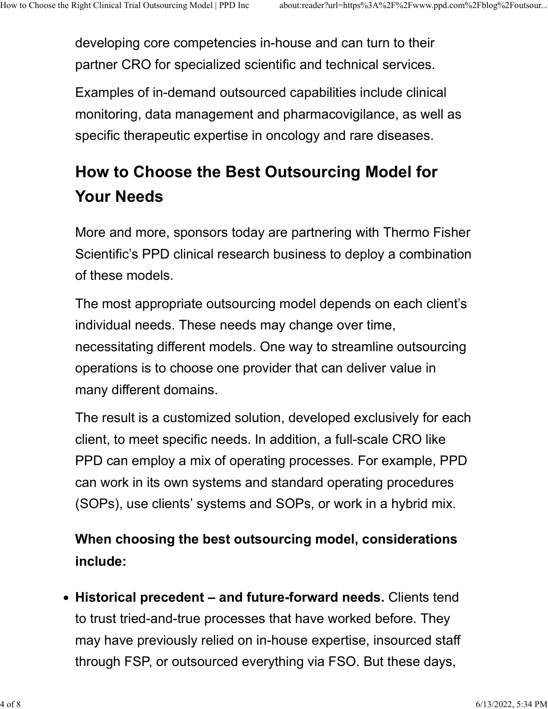developing core competencies in-house and can turn to their partner CRO for specialized scientific and technical services. How to Choose the Right Clinical Trial Outsourcing Model | PPD Inc about:reader?url=https%3A%2F%2Fwww.ppd.com%2Fblog%2Foutsour...<br>developing core competencies in-house and can turn to their<br>partner CBO for specialized scie

> Examples of in-demand outsourced capabilities include clinical monitoring, data management and pharmacovigilance, as well as specific therapeutic expertise in oncology and rare diseases.

## How to Choose the Best Outsourcing Model for Your Needs

More and more, sponsors today are partnering with Thermo Fisher Scientific's PPD clinical research business to deploy a combination of these models.

The most appropriate outsourcing model depends on each client's individual needs. These needs may change over time, necessitating different models. One way to streamline outsourcing operations is to choose one provider that can deliver value in many different domains.

The result is a customized solution, developed exclusively for each client, to meet specific needs. In addition, a full-scale CRO like PPD can employ a mix of operating processes. For example, PPD can work in its own systems and standard operating procedures (SOPs), use clients' systems and SOPs, or work in a hybrid mix.

When choosing the best outsourcing model, considerations include:

• Historical precedent – and future-forward needs. Clients tend to trust tried-and-true processes that have worked before. They may have previously relied on in-house expertise, insourced staff through FSP, or outsourced everything via FSO. But these days,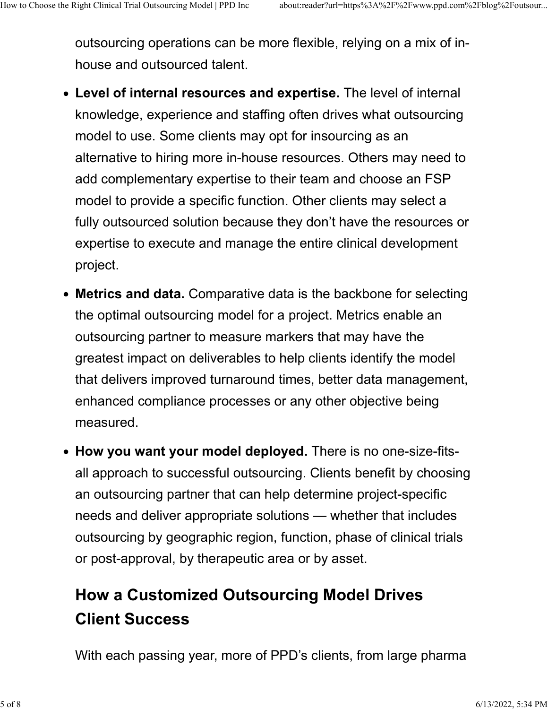outsourcing operations can be more flexible, relying on a mix of inhouse and outsourced talent. How to Choose the Right Clinical Trial Outsourcing Model | PPD Inc about:reader?url=https%3A%2F%2Fwww.ppd.com%2Fblog%2Foutsour...<br>OUtsourcing operations can be more flexible, relying on a mix of in-<br>bouse and outsourced ta

- Level of internal resources and expertise. The level of internal knowledge, experience and staffing often drives what outsourcing model to use. Some clients may opt for insourcing as an alternative to hiring more in-house resources. Others may need to add complementary expertise to their team and choose an FSP model to provide a specific function. Other clients may select a fully outsourced solution because they don't have the resources or expertise to execute and manage the entire clinical development project.
- Metrics and data. Comparative data is the backbone for selecting the optimal outsourcing model for a project. Metrics enable an outsourcing partner to measure markers that may have the greatest impact on deliverables to help clients identify the model that delivers improved turnaround times, better data management, enhanced compliance processes or any other objective being measured.
- How you want your model deployed. There is no one-size-fitsall approach to successful outsourcing. Clients benefit by choosing an outsourcing partner that can help determine project-specific needs and deliver appropriate solutions — whether that includes outsourcing by geographic region, function, phase of clinical trials or post-approval, by therapeutic area or by asset.

### How a Customized Outsourcing Model Drives Client Success

With each passing year, more of PPD's clients, from large pharma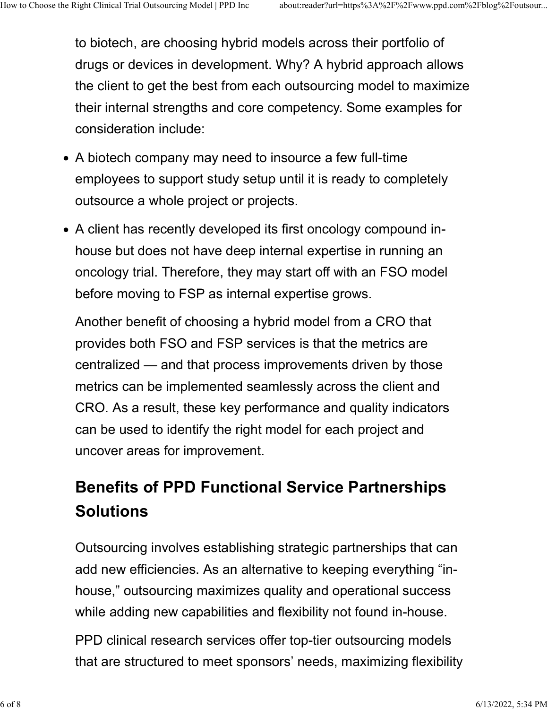to biotech, are choosing hybrid models across their portfolio of drugs or devices in development. Why? A hybrid approach allows the client to get the best from each outsourcing model to maximize their internal strengths and core competency. Some examples for consideration include: How to Choose the Right Clinical Trial Outsourcing Model | PPD Inc about:reader?url=https%3A%2F%2Fwww.ppd.com%2Fblog%2Foutsour...<br>
to biotech, are choosing hybrid models across their portfolio of<br>
drugs or devices in devel

- A biotech company may need to insource a few full-time employees to support study setup until it is ready to completely outsource a whole project or projects.
- A client has recently developed its first oncology compound inhouse but does not have deep internal expertise in running an oncology trial. Therefore, they may start off with an FSO model before moving to FSP as internal expertise grows.

Another benefit of choosing a hybrid model from a CRO that provides both FSO and FSP services is that the metrics are centralized — and that process improvements driven by those metrics can be implemented seamlessly across the client and CRO. As a result, these key performance and quality indicators can be used to identify the right model for each project and uncover areas for improvement.

### Benefits of PPD Functional Service Partnerships **Solutions**

Outsourcing involves establishing strategic partnerships that can add new efficiencies. As an alternative to keeping everything "inhouse," outsourcing maximizes quality and operational success while adding new capabilities and flexibility not found in-house.

PPD clinical research services offer top-tier outsourcing models that are structured to meet sponsors' needs, maximizing flexibility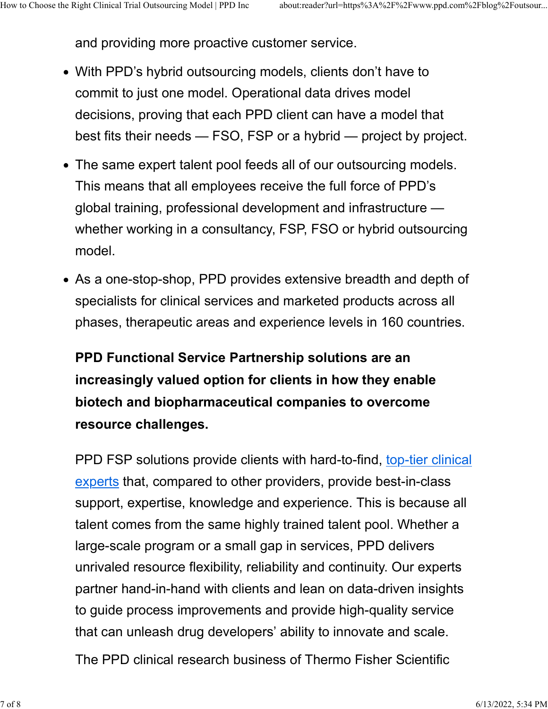and providing more proactive customer service. How to Choose the Right Clinical Trial Outsourcing Model | PPD Inc about:reader?url=https%3A%2F%2Fwww.ppd.com%2Fblog%2Foutsour...<br>and providing more proactive customer service.

- With PPD's hybrid outsourcing models, clients don't have to commit to just one model. Operational data drives model decisions, proving that each PPD client can have a model that best fits their needs — FSO, FSP or a hybrid — project by project.
- The same expert talent pool feeds all of our outsourcing models. This means that all employees receive the full force of PPD's global training, professional development and infrastructure whether working in a consultancy, FSP, FSO or hybrid outsourcing model.
- As a one-stop-shop, PPD provides extensive breadth and depth of specialists for clinical services and marketed products across all phases, therapeutic areas and experience levels in 160 countries.

#### PPD Functional Service Partnership solutions are an increasingly valued option for clients in how they enable biotech and biopharmaceutical companies to overcome resource challenges.

PPD FSP solutions provide clients with hard-to-find, top-tier clinical experts that, compared to other providers, provide best-in-class support, expertise, knowledge and experience. This is because all talent comes from the same highly trained talent pool. Whether a large-scale program or a small gap in services, PPD delivers unrivaled resource flexibility, reliability and continuity. Our experts partner hand-in-hand with clients and lean on data-driven insights to guide process improvements and provide high-quality service that can unleash drug developers' ability to innovate and scale.

The PPD clinical research business of Thermo Fisher Scientific